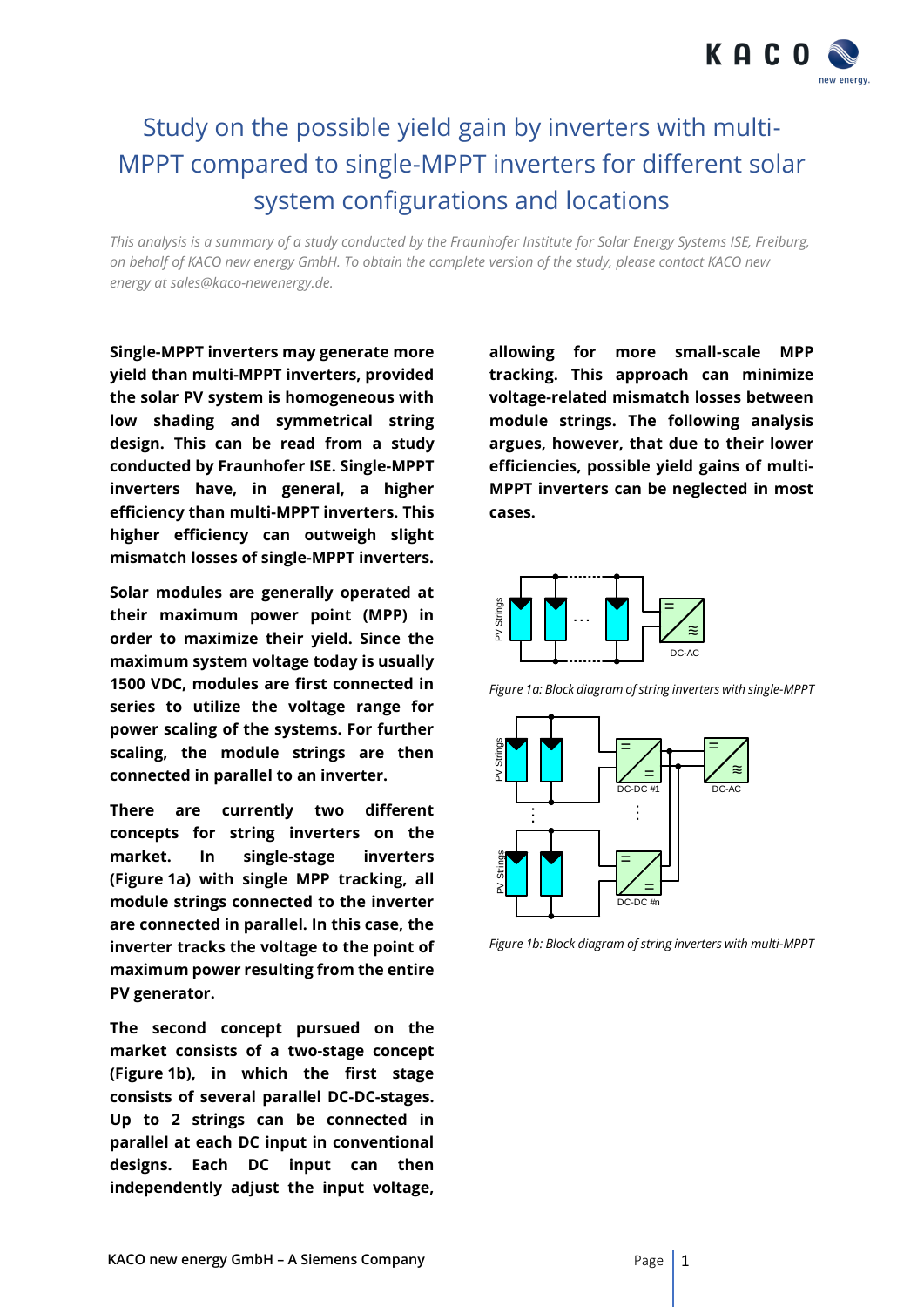

# Study on the possible yield gain by inverters with multi-MPPT compared to single-MPPT inverters for different solar system configurations and locations

*This analysis is a summary of a study conducted by the Fraunhofer Institute for Solar Energy Systems ISE, Freiburg, on behalf of KACO new energy GmbH. To obtain the complete version of the study, please contact KACO new energy at sales@kaco-newenergy.de.*

**Single-MPPT inverters may generate more yield than multi-MPPT inverters, provided the solar PV system is homogeneous with low shading and symmetrical string design. This can be read from a study conducted by Fraunhofer ISE. Single-MPPT inverters have, in general, a higher efficiency than multi-MPPT inverters. This higher efficiency can outweigh slight mismatch losses of single-MPPT inverters.**

**Solar modules are generally operated at their maximum power point (MPP) in order to maximize their yield. Since the maximum system voltage today is usually 1500 VDC, modules are first connected in series to utilize the voltage range for power scaling of the systems. For further scaling, the module strings are then connected in parallel to an inverter.** 

**There are currently two different concepts for string inverters on the market. In single-stage inverters (Figure 1a) with single MPP tracking, all module strings connected to the inverter are connected in parallel. In this case, the inverter tracks the voltage to the point of maximum power resulting from the entire PV generator.** 

**The second concept pursued on the market consists of a two-stage concept (Figure 1b), in which the first stage consists of several parallel DC-DC-stages. Up to 2 strings can be connected in parallel at each DC input in conventional designs. Each DC input can then independently adjust the input voltage,**  **allowing for more small-scale MPP tracking. This approach can minimize voltage-related mismatch losses between module strings. The following analysis argues, however, that due to their lower efficiencies, possible yield gains of multi-MPPT inverters can be neglected in most cases.**



*Figure 1a: Block diagram of string inverters with single-MPPT*



*Figure 1b: Block diagram of string inverters with multi-MPPT*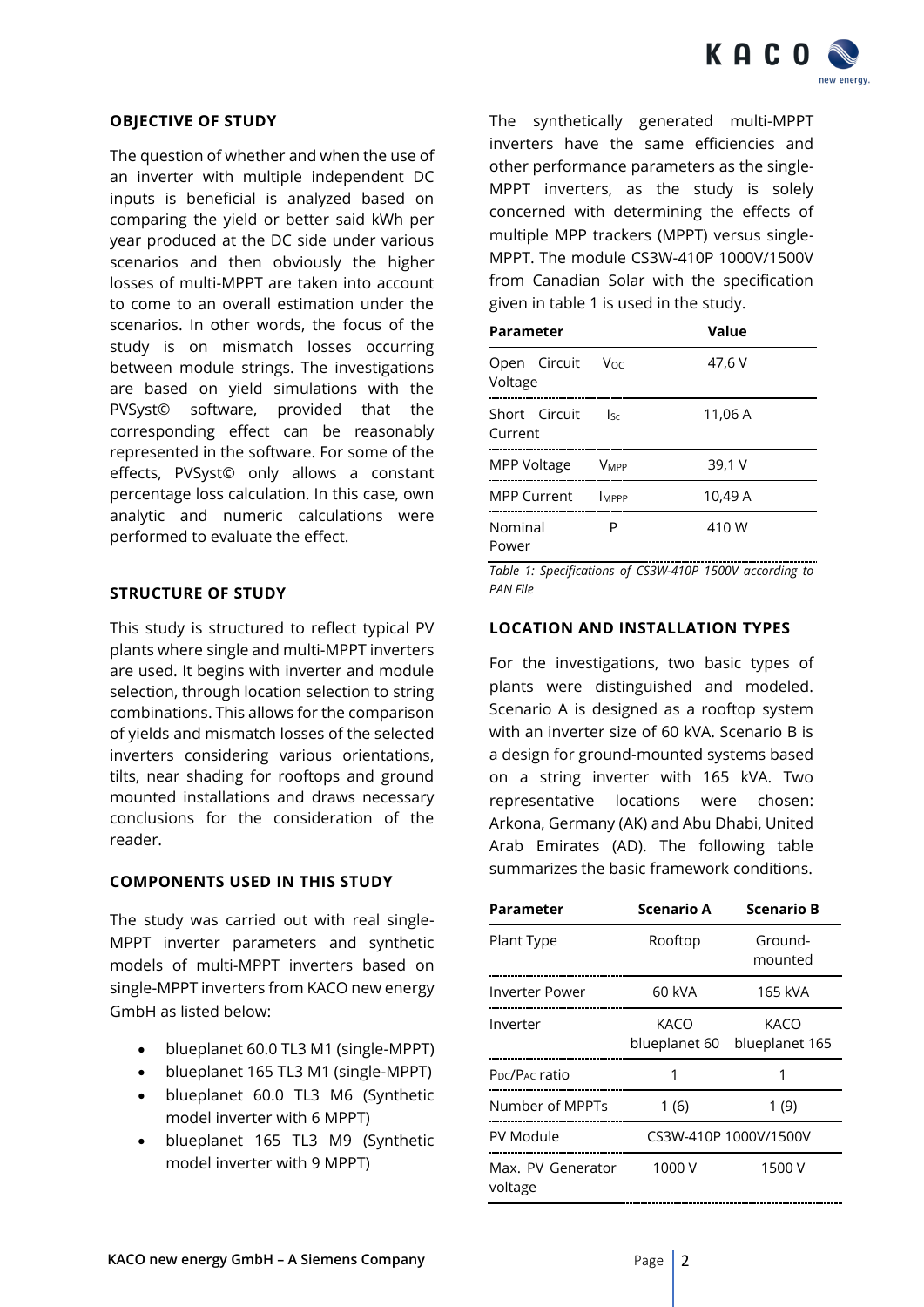

### **OBJECTIVE OF STUDY**

The question of whether and when the use of an inverter with multiple independent DC inputs is beneficial is analyzed based on comparing the yield or better said kWh per year produced at the DC side under various scenarios and then obviously the higher losses of multi-MPPT are taken into account to come to an overall estimation under the scenarios. In other words, the focus of the study is on mismatch losses occurring between module strings. The investigations are based on yield simulations with the PVSyst© software, provided that the corresponding effect can be reasonably represented in the software. For some of the effects, PVSyst© only allows a constant percentage loss calculation. In this case, own analytic and numeric calculations were performed to evaluate the effect.

## **STRUCTURE OF STUDY**

This study is structured to reflect typical PV plants where single and multi-MPPT inverters are used. It begins with inverter and module selection, through location selection to string combinations. This allows for the comparison of yields and mismatch losses of the selected inverters considering various orientations, tilts, near shading for rooftops and ground mounted installations and draws necessary conclusions for the consideration of the reader.

#### **COMPONENTS USED IN THIS STUDY**

The study was carried out with real single-MPPT inverter parameters and synthetic models of multi-MPPT inverters based on single-MPPT inverters from KACO new energy GmbH as listed below:

- blueplanet 60.0 TL3 M1 (single-MPPT)
- blueplanet 165 TL3 M1 (single-MPPT)
- blueplanet 60.0 TL3 M6 (Synthetic model inverter with 6 MPPT)
- blueplanet 165 TL3 M9 (Synthetic model inverter with 9 MPPT)

The synthetically generated multi-MPPT inverters have the same efficiencies and other performance parameters as the single-MPPT inverters, as the study is solely concerned with determining the effects of multiple MPP trackers (MPPT) versus single-MPPT. The module CS3W-410P 1000V/1500V from Canadian Solar with the specification given in table 1 is used in the study.

| Parameter                |                            | Value   |
|--------------------------|----------------------------|---------|
| Open Circuit<br>Voltage  | Voc                        | 47,6 V  |
| Short Circuit<br>Current | $\mathsf{l}_{\mathsf{Sc}}$ | 11,06 A |
| MPP Voltage              | <b>VMPP</b>                | 39,1 V  |
| <b>MPP Current</b>       | MPPP                       | 10,49 A |
| Nominal<br>Power         | P                          | 410 W   |

*Table 1: Specifications of CS3W-410P 1500V according to PAN File*

## **LOCATION AND INSTALLATION TYPES**

For the investigations, two basic types of plants were distinguished and modeled. Scenario A is designed as a rooftop system with an inverter size of 60 kVA. Scenario B is a design for ground-mounted systems based on a string inverter with 165 kVA. Two representative locations were chosen: Arkona, Germany (AK) and Abu Dhabi, United Arab Emirates (AD). The following table summarizes the basic framework conditions.

| Parameter                              | <b>Scenario A</b>     | <b>Scenario B</b>      |
|----------------------------------------|-----------------------|------------------------|
| Plant Type                             | Rooftop               | Ground-<br>mounted     |
| Inverter Power                         | 60 kVA                | 165 kVA                |
| Inverter                               | KACO<br>blueplanet 60 | KACO<br>blueplanet 165 |
| P <sub>DC</sub> /P <sub>AC</sub> ratio | 1                     | 1                      |
| Number of MPPTs                        | 1(6)                  | 1(9)                   |
| PV Module                              | CS3W-410P 1000V/1500V |                        |
| Max. PV Generator<br>voltage           | 1000 V                | 1500 V                 |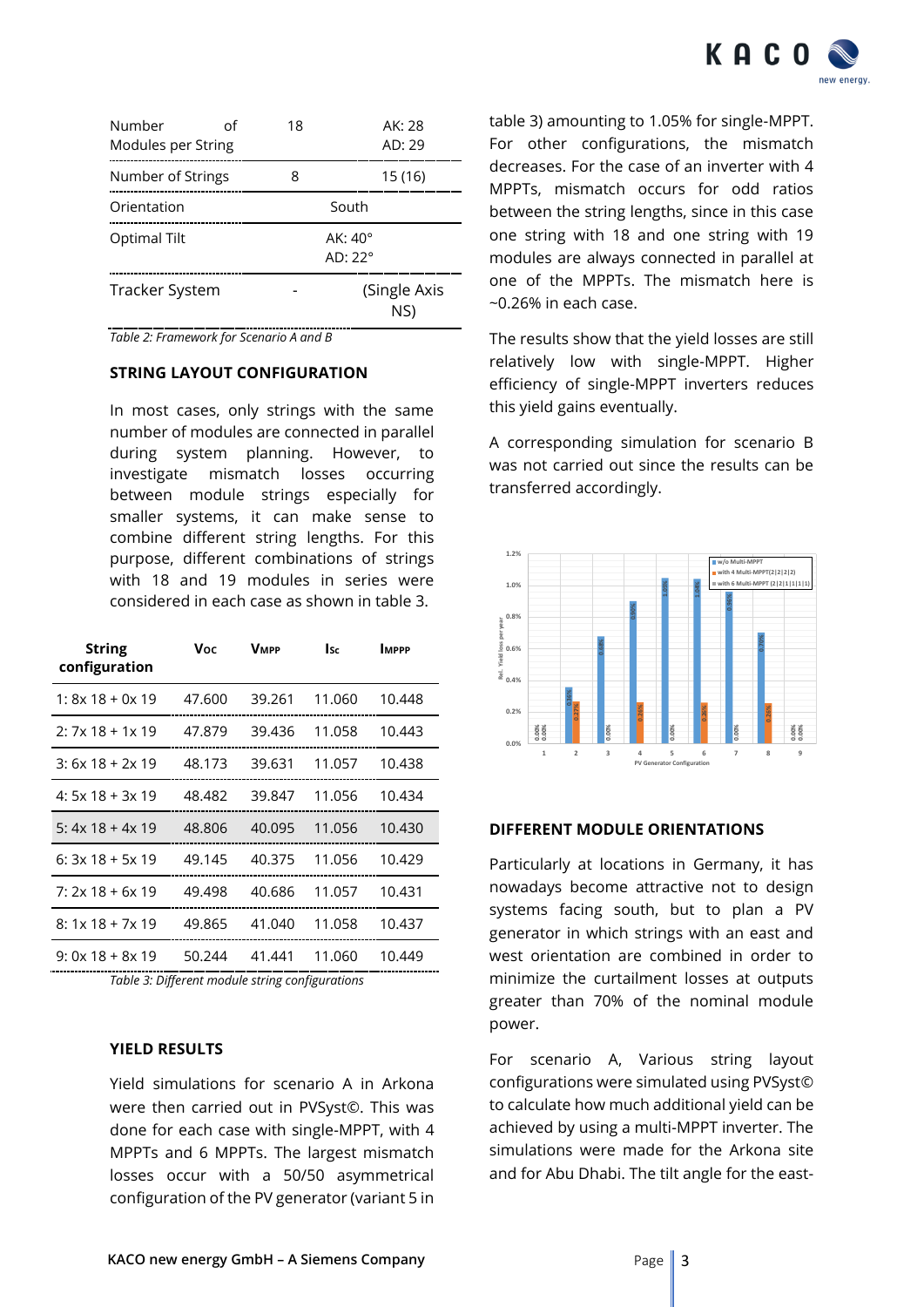

| Number<br>Modules per String | იf | 18    | AK: 28<br>AD: 29                   |  |
|------------------------------|----|-------|------------------------------------|--|
| Number of Strings            |    | 8     | 15 (16)                            |  |
| Orientation                  |    | South |                                    |  |
| Optimal Tilt                 |    |       | $AK:40^{\circ}$<br>$AD:22^{\circ}$ |  |
| Tracker System               |    |       | (Single Axis<br>NS)                |  |

*Table 2: Framework for Scenario A and B*

## **STRING LAYOUT CONFIGURATION**

In most cases, only strings with the same number of modules are connected in parallel during system planning. However, to investigate mismatch losses occurring between module strings especially for smaller systems, it can make sense to combine different string lengths. For this purpose, different combinations of strings with 18 and 19 modules in series were considered in each case as shown in table 3.

| <b>String</b><br>configuration | Voc    | <b>VMPP</b> | <b>Isc</b> | <b>IMPPP</b> |
|--------------------------------|--------|-------------|------------|--------------|
| $1: 8x 18 + 0x 19$             | 47.600 | 39.261      | 11.060     | 10.448       |
| $2:7x18+1x19$                  | 47.879 | 39.436      | 11.058     | 10.443       |
| $3: 6x 18 + 2x 19$             | 48.173 | 39.631      | 11.057     | 10.438       |
| $4:5x18+3x19$                  | 48.482 | 39.847      | 11.056     | 10.434       |
| 5: $4x$ 18 + $4x$ 19           | 48.806 | 40.095      | 11.056     | 10.430       |
| $6: 3x 18 + 5x 19$             | 49.145 | 40.375      | 11.056     | 10.429       |
| $7: 2x 18 + 6x 19$             | 49.498 | 40.686      | 11.057     | 10.431       |
| $8:1x18+7x19$                  | 49.865 | 41.040      | 11.058     | 10.437       |
| $9:0x18+8x19$                  | 50.244 | 41.441      | 11.060     | 10.449       |

*Table 3: Different module string configurations*

# **YIELD RESULTS**

Yield simulations for scenario A in Arkona were then carried out in PVSyst©. This was done for each case with single-MPPT, with 4 MPPTs and 6 MPPTs. The largest mismatch losses occur with a 50/50 asymmetrical configuration of the PV generator (variant 5 in

table 3) amounting to 1.05% for single-MPPT. For other configurations, the mismatch decreases. For the case of an inverter with 4 MPPTs, mismatch occurs for odd ratios between the string lengths, since in this case one string with 18 and one string with 19 modules are always connected in parallel at one of the MPPTs. The mismatch here is ~0.26% in each case.

The results show that the yield losses are still relatively low with single-MPPT. Higher efficiency of single-MPPT inverters reduces this yield gains eventually.

A corresponding simulation for scenario B was not carried out since the results can be transferred accordingly.



## **DIFFERENT MODULE ORIENTATIONS**

Particularly at locations in Germany, it has nowadays become attractive not to design systems facing south, but to plan a PV generator in which strings with an east and west orientation are combined in order to minimize the curtailment losses at outputs greater than 70% of the nominal module power.

For scenario A, Various string layout configurations were simulated using PVSyst© to calculate how much additional yield can be achieved by using a multi-MPPT inverter. The simulations were made for the Arkona site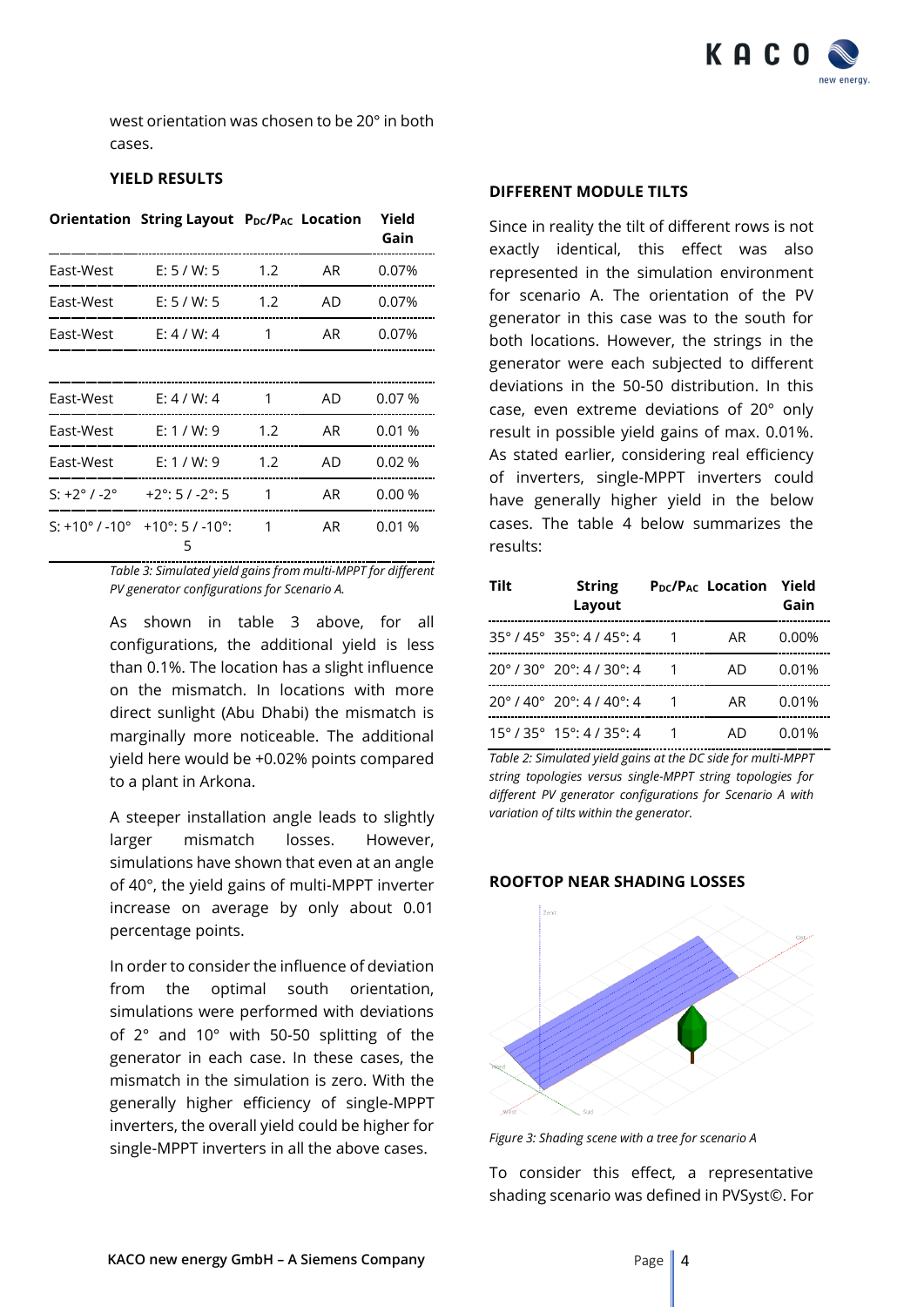

west orientation was chosen to be 20° in both cases.

# **YIELD RESULTS**

|                            | Orientation String Layout PDC/PAC Location |     |    | Yield<br>Gain |
|----------------------------|--------------------------------------------|-----|----|---------------|
| East-West                  | E: 5 / W: 5                                | 1.2 | AR | 0.07%         |
| East-West                  | E: 5 / W: 5                                | 1.2 | AD | 0.07%         |
| East-West                  | E: 4 / W: 4                                | 1   | AR | 0.07%         |
|                            |                                            |     |    |               |
| East-West                  | E: 4 / W: 4                                | 1   | AD | 0.07%         |
| East-West                  | E: 1 / W: 9                                | 1.2 | AR | 0.01%         |
| East-West                  | E: 1 / W: 9                                | 1.2 | AD | 0.02%         |
| $S: +2^{\circ}/-2^{\circ}$ | $+2^{\circ}$ : 5 / -2 $^{\circ}$ : 5       | 1   | AR | 0.00%         |
| S: +10° / -10°             | $+10^{\circ}$ : 5 / -10 $^{\circ}$ :<br>5  | 1   | AR | 0.01%         |

*Table 3: Simulated yield gains from multi-MPPT for different PV generator configurations for Scenario A.*

As shown in table 3 above, for all configurations, the additional yield is less than 0.1%. The location has a slight influence on the mismatch. In locations with more direct sunlight (Abu Dhabi) the mismatch is marginally more noticeable. The additional yield here would be +0.02% points compared to a plant in Arkona.

A steeper installation angle leads to slightly larger mismatch losses. However, simulations have shown that even at an angle of 40°, the yield gains of multi-MPPT inverter increase on average by only about 0.01 percentage points.

In order to consider the influence of deviation from the optimal south orientation, simulations were performed with deviations of 2° and 10° with 50-50 splitting of the generator in each case. In these cases, the mismatch in the simulation is zero. With the generally higher efficiency of single-MPPT inverters, the overall yield could be higher for single-MPPT inverters in all the above cases.

#### **DIFFERENT MODULE TILTS**

Since in reality the tilt of different rows is not exactly identical, this effect was also represented in the simulation environment for scenario A. The orientation of the PV generator in this case was to the south for both locations. However, the strings in the generator were each subjected to different deviations in the 50-50 distribution. In this case, even extreme deviations of 20° only result in possible yield gains of max. 0.01%. As stated earlier, considering real efficiency of inverters, single-MPPT inverters could have generally higher yield in the below cases. The table 4 below summarizes the results:

| Tilt | <b>String</b><br>Layout                                            | P <sub>DC</sub> /P <sub>AC</sub> Location | Yield<br>Gain |
|------|--------------------------------------------------------------------|-------------------------------------------|---------------|
|      | $35^{\circ}$ / 45 $^{\circ}$ 35 $^{\circ}$ : 4 / 45 $^{\circ}$ : 4 | AR                                        | $0.00\%$      |
|      | $20^{\circ}$ / 30° $20^{\circ}$ : 4 / 30°: 4                       | AD.                                       | 0.01%         |
|      | $70^{\circ}$ / $40^{\circ}$ $70^{\circ}$ : 4 / $40^{\circ}$ : 4    | AR                                        | 0.01%         |
|      | $15^{\circ}$ / 35° $15^{\circ}$ : 4 / 35°: 4                       | AI)                                       | 0.01%         |

*Table 2: Simulated yield gains at the DC side for multi-MPPT string topologies versus single-MPPT string topologies for different PV generator configurations for Scenario A with variation of tilts within the generator.*

## **ROOFTOP NEAR SHADING LOSSES**



*Figure 3: Shading scene with a tree for scenario A*

To consider this effect, a representative shading scenario was defined in PVSyst©. For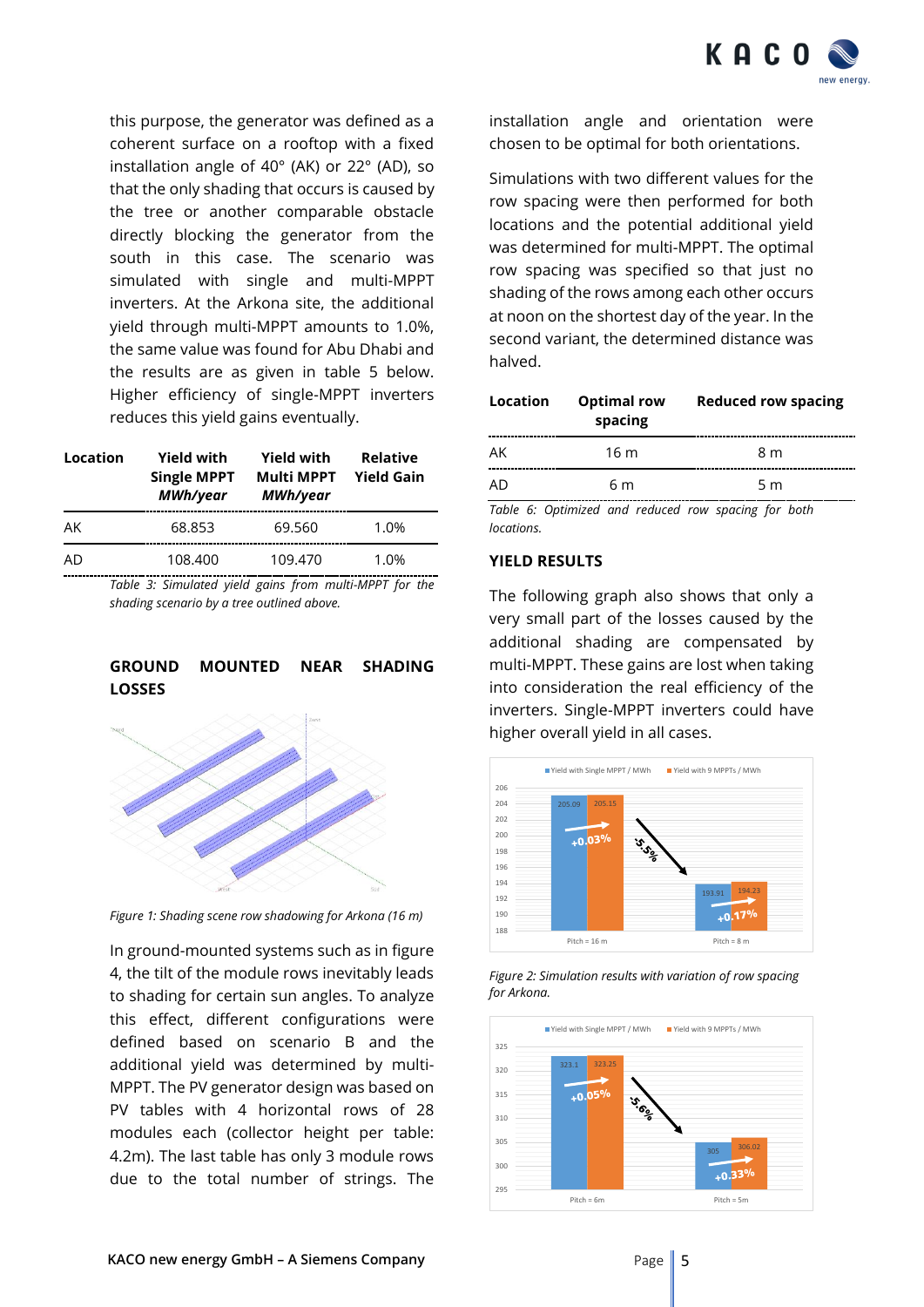

this purpose, the generator was defined as a coherent surface on a rooftop with a fixed installation angle of 40° (AK) or 22° (AD), so that the only shading that occurs is caused by the tree or another comparable obstacle directly blocking the generator from the south in this case. The scenario was simulated with single and multi-MPPT inverters. At the Arkona site, the additional yield through multi-MPPT amounts to 1.0%, the same value was found for Abu Dhabi and the results are as given in table 5 below. Higher efficiency of single-MPPT inverters reduces this yield gains eventually.

| Location | <b>Yield with</b><br><b>Single MPPT</b><br>MWh/year | <b>Yield with</b><br><b>Multi MPPT</b><br>MWh/year | <b>Relative</b><br><b>Yield Gain</b> |
|----------|-----------------------------------------------------|----------------------------------------------------|--------------------------------------|
| AK       | 68.853                                              | 69.560                                             | 1.0%                                 |
| AD       | 108.400                                             | 109.470                                            | 1.0%                                 |
|          | _ _ _ . _ _ _ _                                     |                                                    |                                      |

*Table 3: Simulated yield gains from multi-MPPT for the shading scenario by a tree outlined above.*

### **GROUND MOUNTED NEAR SHADING LOSSES**



*Figure 1: Shading scene row shadowing for Arkona (16 m)*

In ground-mounted systems such as in figure 4, the tilt of the module rows inevitably leads to shading for certain sun angles. To analyze this effect, different configurations were defined based on scenario B and the additional yield was determined by multi-MPPT. The PV generator design was based on PV tables with 4 horizontal rows of 28 modules each (collector height per table: 4.2m). The last table has only 3 module rows due to the total number of strings. The

installation angle and orientation were chosen to be optimal for both orientations.

Simulations with two different values for the row spacing were then performed for both locations and the potential additional yield was determined for multi-MPPT. The optimal row spacing was specified so that just no shading of the rows among each other occurs at noon on the shortest day of the year. In the second variant, the determined distance was halved.

| Location | <b>Optimal row</b><br>spacing | <b>Reduced row spacing</b> |
|----------|-------------------------------|----------------------------|
| AK       | 16 m                          | 8 m                        |
| AD       | 6 m                           | 5 <sub>m</sub>             |

*Table 6: Optimized and reduced row spacing for both locations.*

#### **YIELD RESULTS**

The following graph also shows that only a very small part of the losses caused by the additional shading are compensated by multi-MPPT. These gains are lost when taking into consideration the real efficiency of the inverters. Single-MPPT inverters could have higher overall yield in all cases.



*Figure 2: Simulation results with variation of row spacing for Arkona.*

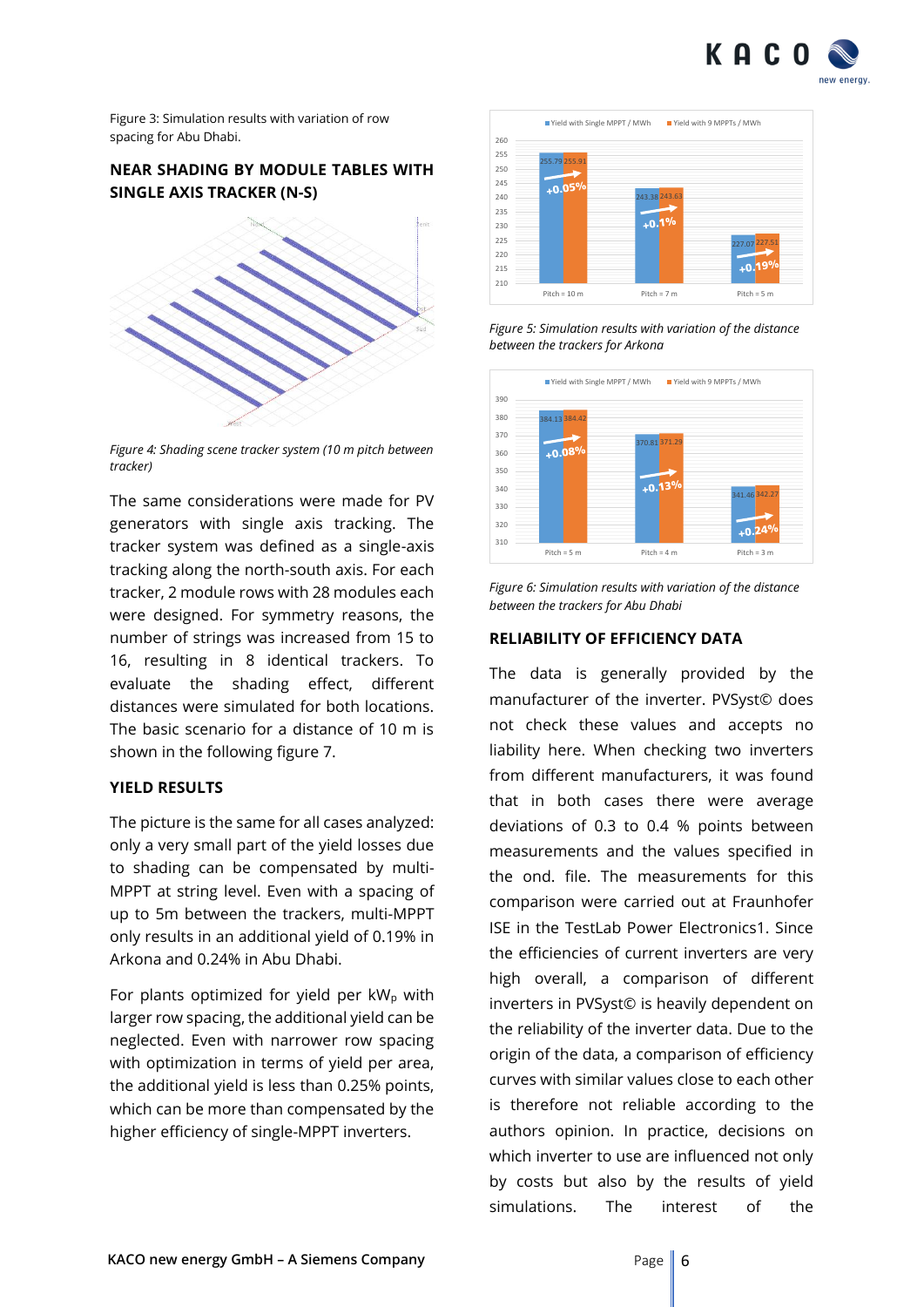

Figure 3: Simulation results with variation of row spacing for Abu Dhabi.

# **NEAR SHADING BY MODULE TABLES WITH SINGLE AXIS TRACKER (N-S)**



*Figure 4: Shading scene tracker system (10 m pitch between tracker)*

The same considerations were made for PV generators with single axis tracking. The tracker system was defined as a single-axis tracking along the north-south axis. For each tracker, 2 module rows with 28 modules each were designed. For symmetry reasons, the number of strings was increased from 15 to 16, resulting in 8 identical trackers. To evaluate the shading effect, different distances were simulated for both locations. The basic scenario for a distance of 10 m is shown in the following figure 7.

#### **YIELD RESULTS**

The picture is the same for all cases analyzed: only a very small part of the yield losses due to shading can be compensated by multi-MPPT at string level. Even with a spacing of up to 5m between the trackers, multi-MPPT only results in an additional yield of 0.19% in Arkona and 0.24% in Abu Dhabi.

For plants optimized for yield per  $kW_p$  with larger row spacing, the additional yield can be neglected. Even with narrower row spacing with optimization in terms of yield per area, the additional yield is less than 0.25% points, which can be more than compensated by the higher efficiency of single-MPPT inverters.



*Figure 5: Simulation results with variation of the distance between the trackers for Arkona*



*Figure 6: Simulation results with variation of the distance between the trackers for Abu Dhabi*

# **RELIABILITY OF EFFICIENCY DATA**

The data is generally provided by the manufacturer of the inverter. PVSyst© does not check these values and accepts no liability here. When checking two inverters from different manufacturers, it was found that in both cases there were average deviations of 0.3 to 0.4 % points between measurements and the values specified in the ond. file. The measurements for this comparison were carried out at Fraunhofer ISE in the TestLab Power Electronics1. Since the efficiencies of current inverters are very high overall, a comparison of different inverters in PVSyst© is heavily dependent on the reliability of the inverter data. Due to the origin of the data, a comparison of efficiency curves with similar values close to each other is therefore not reliable according to the authors opinion. In practice, decisions on which inverter to use are influenced not only by costs but also by the results of yield simulations. The interest of the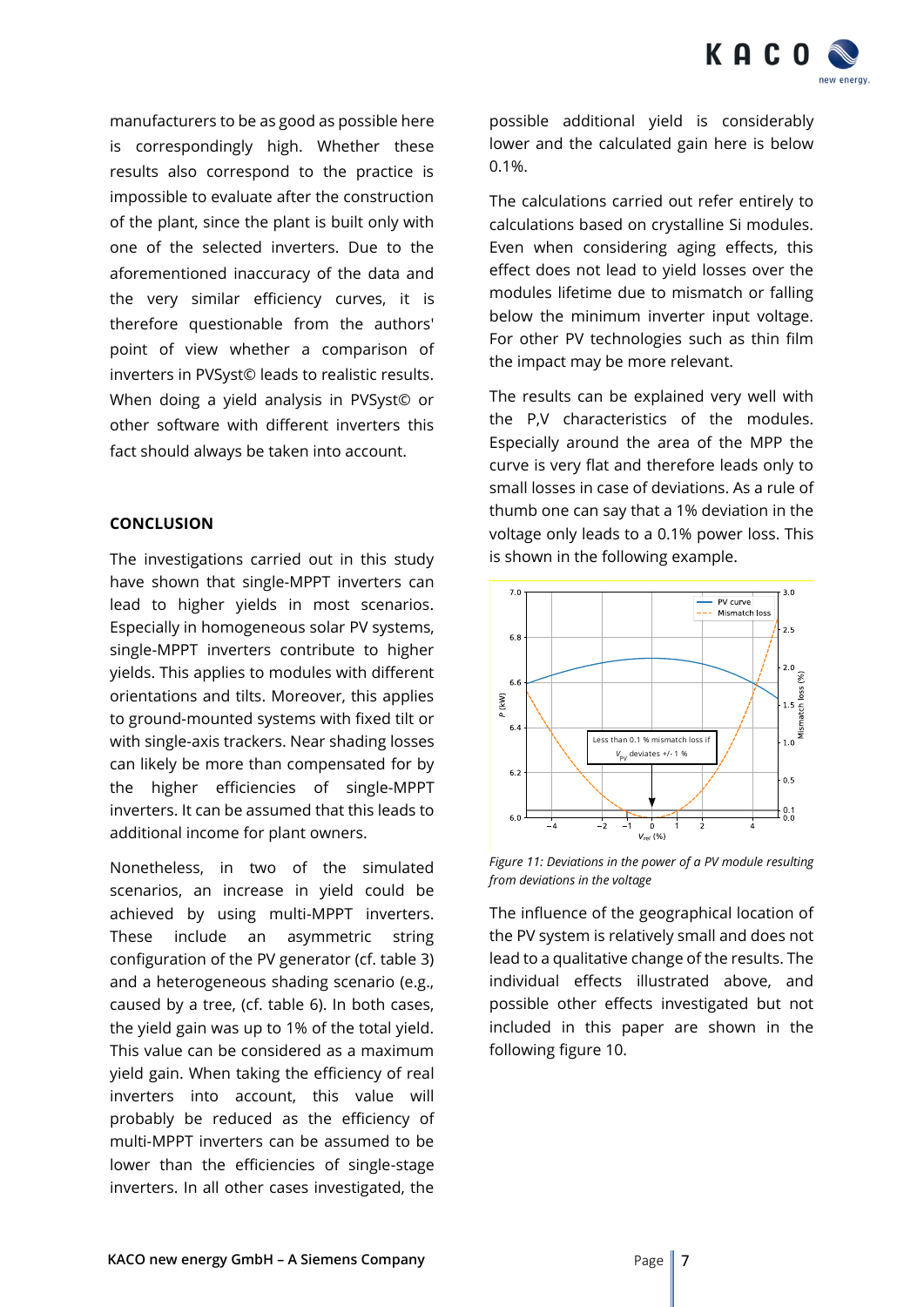

manufacturers to be as good as possible here is correspondingly high. Whether these results also correspond to the practice is impossible to evaluate after the construction of the plant, since the plant is built only with one of the selected inverters. Due to the aforementioned inaccuracy of the data and the very similar efficiency curves, it is therefore questionable from the authors' point of view whether a comparison of inverters in PVSyst© leads to realistic results. When doing a yield analysis in PVSyst© or other software with different inverters this fact should always be taken into account.

# **CONCLUSION**

The investigations carried out in this study have shown that single-MPPT inverters can lead to higher yields in most scenarios. Especially in homogeneous solar PV systems, single-MPPT inverters contribute to higher yields. This applies to modules with different orientations and tilts. Moreover, this applies to ground-mounted systems with fixed tilt or with single-axis trackers. Near shading losses can likely be more than compensated for by the higher efficiencies of single-MPPT inverters. It can be assumed that this leads to additional income for plant owners.

Nonetheless, in two of the simulated scenarios, an increase in yield could be achieved by using multi-MPPT inverters. These include an asymmetric string configuration of the PV generator (cf. table 3) and a heterogeneous shading scenario (e.g., caused by a tree, (cf. table 6). In both cases, the yield gain was up to 1% of the total yield. This value can be considered as a maximum yield gain. When taking the efficiency of real inverters into account, this value will probably be reduced as the efficiency of multi-MPPT inverters can be assumed to be lower than the efficiencies of single-stage inverters. In all other cases investigated, the

possible additional yield is considerably lower and the calculated gain here is below 0.1%.

The calculations carried out refer entirely to calculations based on crystalline Si modules. Even when considering aging effects, this effect does not lead to yield losses over the modules lifetime due to mismatch or falling below the minimum inverter input voltage. For other PV technologies such as thin film the impact may be more relevant.

The results can be explained very well with the P,V characteristics of the modules. Especially around the area of the MPP the curve is very flat and therefore leads only to small losses in case of deviations. As a rule of thumb one can say that a 1% deviation in the voltage only leads to a 0.1% power loss. This is shown in the following example.



*Figure 11: Deviations in the power of a PV module resulting from deviations in the voltage*

The influence of the geographical location of the PV system is relatively small and does not lead to a qualitative change of the results. The individual effects illustrated above, and possible other effects investigated but not included in this paper are shown in the following figure 10.